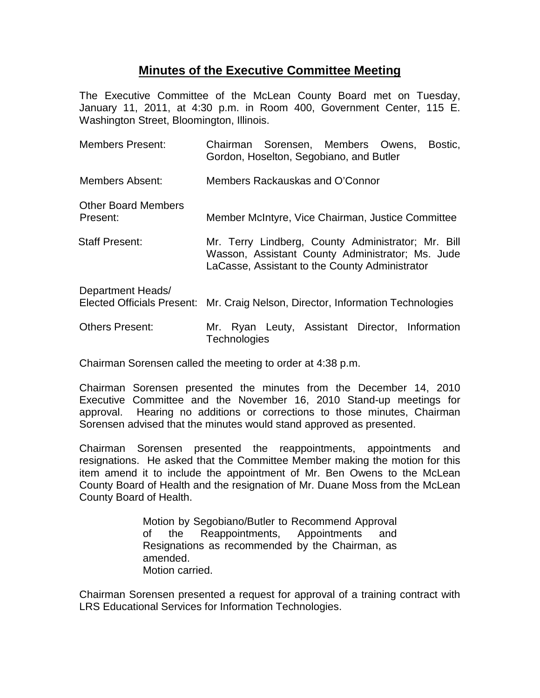## **Minutes of the Executive Committee Meeting**

The Executive Committee of the McLean County Board met on Tuesday, January 11, 2011, at 4:30 p.m. in Room 400, Government Center, 115 E. Washington Street, Bloomington, Illinois.

| <b>Members Present:</b>                                | Chairman Sorensen, Members Owens,<br>Bostic,<br>Gordon, Hoselton, Segobiano, and Butler                                                                  |
|--------------------------------------------------------|----------------------------------------------------------------------------------------------------------------------------------------------------------|
| <b>Members Absent:</b>                                 | Members Rackauskas and O'Connor                                                                                                                          |
| <b>Other Board Members</b><br>Present:                 | Member McIntyre, Vice Chairman, Justice Committee                                                                                                        |
| <b>Staff Present:</b>                                  | Mr. Terry Lindberg, County Administrator; Mr. Bill<br>Wasson, Assistant County Administrator; Ms. Jude<br>LaCasse, Assistant to the County Administrator |
| Department Heads/<br><b>Elected Officials Present:</b> | Mr. Craig Nelson, Director, Information Technologies                                                                                                     |
| <b>Others Present:</b>                                 | Ryan Leuty, Assistant Director, Information<br>Mr.<br>Technologies                                                                                       |

Chairman Sorensen called the meeting to order at 4:38 p.m.

Chairman Sorensen presented the minutes from the December 14, 2010 Executive Committee and the November 16, 2010 Stand-up meetings for approval. Hearing no additions or corrections to those minutes, Chairman Sorensen advised that the minutes would stand approved as presented.

Chairman Sorensen presented the reappointments, appointments and resignations. He asked that the Committee Member making the motion for this item amend it to include the appointment of Mr. Ben Owens to the McLean County Board of Health and the resignation of Mr. Duane Moss from the McLean County Board of Health.

> Motion by Segobiano/Butler to Recommend Approval of the Reappointments, Appointments and Resignations as recommended by the Chairman, as amended. Motion carried.

Chairman Sorensen presented a request for approval of a training contract with LRS Educational Services for Information Technologies.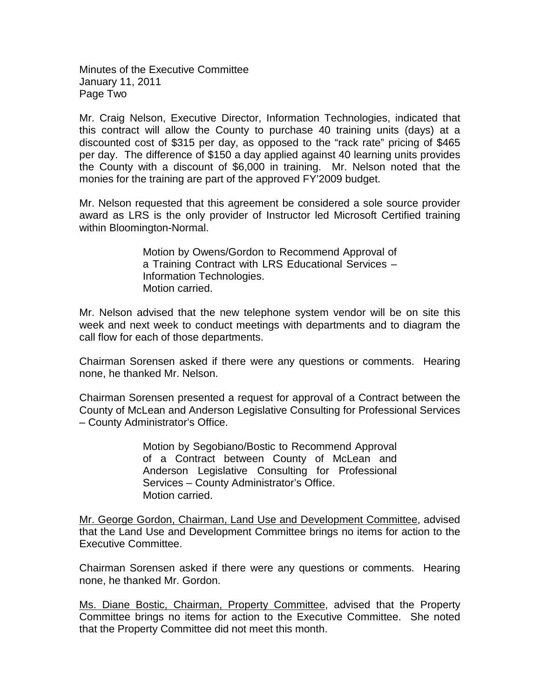Minutes of the Executive Committee January 11, 2011 Page Two

Mr. Craig Nelson, Executive Director, Information Technologies, indicated that this contract will allow the County to purchase 40 training units (days) at a discounted cost of \$315 per day, as opposed to the "rack rate" pricing of \$465 per day. The difference of \$150 a day applied against 40 learning units provides the County with a discount of \$6,000 in training. Mr. Nelson noted that the monies for the training are part of the approved FY'2009 budget.

Mr. Nelson requested that this agreement be considered a sole source provider award as LRS is the only provider of Instructor led Microsoft Certified training within Bloomington-Normal.

> Motion by Owens/Gordon to Recommend Approval of a Training Contract with LRS Educational Services – Information Technologies. Motion carried.

Mr. Nelson advised that the new telephone system vendor will be on site this week and next week to conduct meetings with departments and to diagram the call flow for each of those departments.

Chairman Sorensen asked if there were any questions or comments. Hearing none, he thanked Mr. Nelson.

Chairman Sorensen presented a request for approval of a Contract between the County of McLean and Anderson Legislative Consulting for Professional Services – County Administrator's Office.

> Motion by Segobiano/Bostic to Recommend Approval of a Contract between County of McLean and Anderson Legislative Consulting for Professional Services – County Administrator's Office. Motion carried.

Mr. George Gordon, Chairman, Land Use and Development Committee, advised that the Land Use and Development Committee brings no items for action to the Executive Committee.

Chairman Sorensen asked if there were any questions or comments. Hearing none, he thanked Mr. Gordon.

Ms. Diane Bostic, Chairman, Property Committee, advised that the Property Committee brings no items for action to the Executive Committee. She noted that the Property Committee did not meet this month.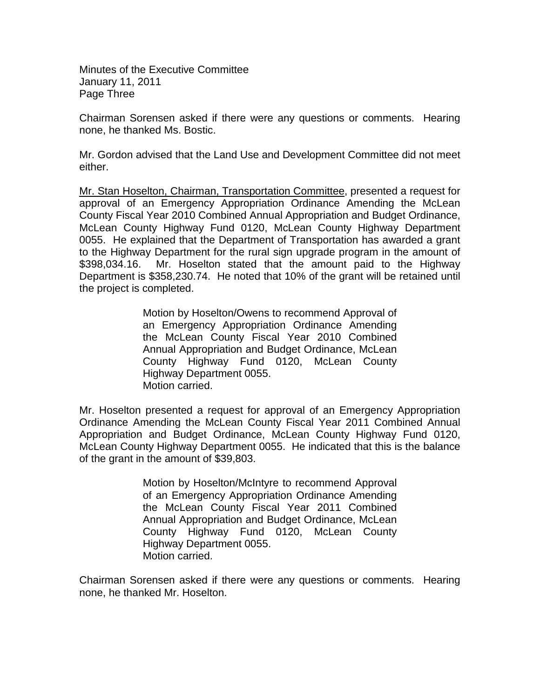Minutes of the Executive Committee January 11, 2011 Page Three

Chairman Sorensen asked if there were any questions or comments. Hearing none, he thanked Ms. Bostic.

Mr. Gordon advised that the Land Use and Development Committee did not meet either.

Mr. Stan Hoselton, Chairman, Transportation Committee, presented a request for approval of an Emergency Appropriation Ordinance Amending the McLean County Fiscal Year 2010 Combined Annual Appropriation and Budget Ordinance, McLean County Highway Fund 0120, McLean County Highway Department 0055. He explained that the Department of Transportation has awarded a grant to the Highway Department for the rural sign upgrade program in the amount of \$398,034.16. Mr. Hoselton stated that the amount paid to the Highway Department is \$358,230.74. He noted that 10% of the grant will be retained until the project is completed.

> Motion by Hoselton/Owens to recommend Approval of an Emergency Appropriation Ordinance Amending the McLean County Fiscal Year 2010 Combined Annual Appropriation and Budget Ordinance, McLean County Highway Fund 0120, McLean County Highway Department 0055. Motion carried.

Mr. Hoselton presented a request for approval of an Emergency Appropriation Ordinance Amending the McLean County Fiscal Year 2011 Combined Annual Appropriation and Budget Ordinance, McLean County Highway Fund 0120, McLean County Highway Department 0055. He indicated that this is the balance of the grant in the amount of \$39,803.

> Motion by Hoselton/McIntyre to recommend Approval of an Emergency Appropriation Ordinance Amending the McLean County Fiscal Year 2011 Combined Annual Appropriation and Budget Ordinance, McLean County Highway Fund 0120, McLean County Highway Department 0055. Motion carried.

Chairman Sorensen asked if there were any questions or comments. Hearing none, he thanked Mr. Hoselton.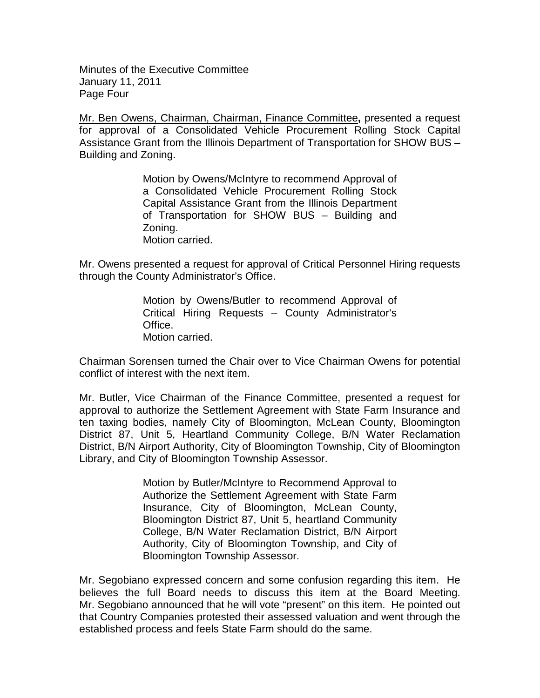Minutes of the Executive Committee January 11, 2011 Page Four

Mr. Ben Owens, Chairman, Chairman, Finance Committee**,** presented a request for approval of a Consolidated Vehicle Procurement Rolling Stock Capital Assistance Grant from the Illinois Department of Transportation for SHOW BUS – Building and Zoning.

> Motion by Owens/McIntyre to recommend Approval of a Consolidated Vehicle Procurement Rolling Stock Capital Assistance Grant from the Illinois Department of Transportation for SHOW BUS – Building and Zoning. Motion carried.

Mr. Owens presented a request for approval of Critical Personnel Hiring requests through the County Administrator's Office.

> Motion by Owens/Butler to recommend Approval of Critical Hiring Requests – County Administrator's Office. Motion carried.

Chairman Sorensen turned the Chair over to Vice Chairman Owens for potential conflict of interest with the next item.

Mr. Butler, Vice Chairman of the Finance Committee, presented a request for approval to authorize the Settlement Agreement with State Farm Insurance and ten taxing bodies, namely City of Bloomington, McLean County, Bloomington District 87, Unit 5, Heartland Community College, B/N Water Reclamation District, B/N Airport Authority, City of Bloomington Township, City of Bloomington Library, and City of Bloomington Township Assessor.

> Motion by Butler/McIntyre to Recommend Approval to Authorize the Settlement Agreement with State Farm Insurance, City of Bloomington, McLean County, Bloomington District 87, Unit 5, heartland Community College, B/N Water Reclamation District, B/N Airport Authority, City of Bloomington Township, and City of Bloomington Township Assessor.

Mr. Segobiano expressed concern and some confusion regarding this item. He believes the full Board needs to discuss this item at the Board Meeting. Mr. Segobiano announced that he will vote "present" on this item. He pointed out that Country Companies protested their assessed valuation and went through the established process and feels State Farm should do the same.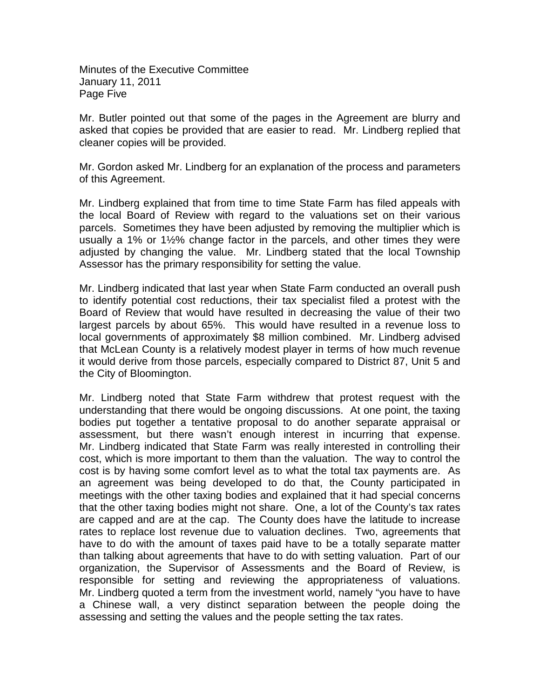Minutes of the Executive Committee January 11, 2011 Page Five

Mr. Butler pointed out that some of the pages in the Agreement are blurry and asked that copies be provided that are easier to read. Mr. Lindberg replied that cleaner copies will be provided.

Mr. Gordon asked Mr. Lindberg for an explanation of the process and parameters of this Agreement.

Mr. Lindberg explained that from time to time State Farm has filed appeals with the local Board of Review with regard to the valuations set on their various parcels. Sometimes they have been adjusted by removing the multiplier which is usually a 1% or 1½% change factor in the parcels, and other times they were adjusted by changing the value. Mr. Lindberg stated that the local Township Assessor has the primary responsibility for setting the value.

Mr. Lindberg indicated that last year when State Farm conducted an overall push to identify potential cost reductions, their tax specialist filed a protest with the Board of Review that would have resulted in decreasing the value of their two largest parcels by about 65%. This would have resulted in a revenue loss to local governments of approximately \$8 million combined. Mr. Lindberg advised that McLean County is a relatively modest player in terms of how much revenue it would derive from those parcels, especially compared to District 87, Unit 5 and the City of Bloomington.

Mr. Lindberg noted that State Farm withdrew that protest request with the understanding that there would be ongoing discussions. At one point, the taxing bodies put together a tentative proposal to do another separate appraisal or assessment, but there wasn't enough interest in incurring that expense. Mr. Lindberg indicated that State Farm was really interested in controlling their cost, which is more important to them than the valuation. The way to control the cost is by having some comfort level as to what the total tax payments are. As an agreement was being developed to do that, the County participated in meetings with the other taxing bodies and explained that it had special concerns that the other taxing bodies might not share. One, a lot of the County's tax rates are capped and are at the cap. The County does have the latitude to increase rates to replace lost revenue due to valuation declines. Two, agreements that have to do with the amount of taxes paid have to be a totally separate matter than talking about agreements that have to do with setting valuation. Part of our organization, the Supervisor of Assessments and the Board of Review, is responsible for setting and reviewing the appropriateness of valuations. Mr. Lindberg quoted a term from the investment world, namely "you have to have a Chinese wall, a very distinct separation between the people doing the assessing and setting the values and the people setting the tax rates.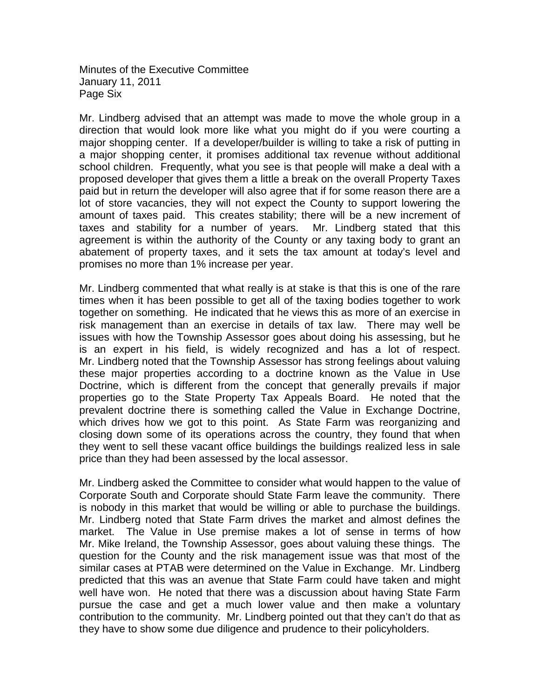Minutes of the Executive Committee January 11, 2011 Page Six

Mr. Lindberg advised that an attempt was made to move the whole group in a direction that would look more like what you might do if you were courting a major shopping center. If a developer/builder is willing to take a risk of putting in a major shopping center, it promises additional tax revenue without additional school children. Frequently, what you see is that people will make a deal with a proposed developer that gives them a little a break on the overall Property Taxes paid but in return the developer will also agree that if for some reason there are a lot of store vacancies, they will not expect the County to support lowering the amount of taxes paid. This creates stability; there will be a new increment of taxes and stability for a number of years. Mr. Lindberg stated that this agreement is within the authority of the County or any taxing body to grant an abatement of property taxes, and it sets the tax amount at today's level and promises no more than 1% increase per year.

Mr. Lindberg commented that what really is at stake is that this is one of the rare times when it has been possible to get all of the taxing bodies together to work together on something. He indicated that he views this as more of an exercise in risk management than an exercise in details of tax law. There may well be issues with how the Township Assessor goes about doing his assessing, but he is an expert in his field, is widely recognized and has a lot of respect. Mr. Lindberg noted that the Township Assessor has strong feelings about valuing these major properties according to a doctrine known as the Value in Use Doctrine, which is different from the concept that generally prevails if major properties go to the State Property Tax Appeals Board. He noted that the prevalent doctrine there is something called the Value in Exchange Doctrine, which drives how we got to this point. As State Farm was reorganizing and closing down some of its operations across the country, they found that when they went to sell these vacant office buildings the buildings realized less in sale price than they had been assessed by the local assessor.

Mr. Lindberg asked the Committee to consider what would happen to the value of Corporate South and Corporate should State Farm leave the community. There is nobody in this market that would be willing or able to purchase the buildings. Mr. Lindberg noted that State Farm drives the market and almost defines the market. The Value in Use premise makes a lot of sense in terms of how Mr. Mike Ireland, the Township Assessor, goes about valuing these things. The question for the County and the risk management issue was that most of the similar cases at PTAB were determined on the Value in Exchange. Mr. Lindberg predicted that this was an avenue that State Farm could have taken and might well have won. He noted that there was a discussion about having State Farm pursue the case and get a much lower value and then make a voluntary contribution to the community. Mr. Lindberg pointed out that they can't do that as they have to show some due diligence and prudence to their policyholders.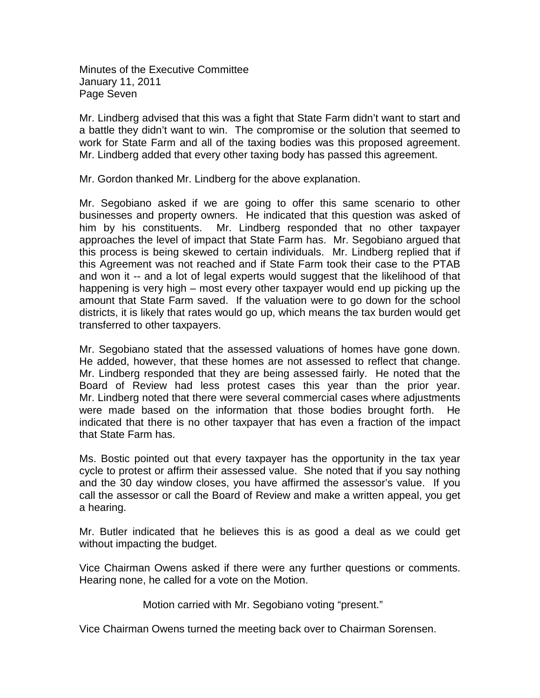Minutes of the Executive Committee January 11, 2011 Page Seven

Mr. Lindberg advised that this was a fight that State Farm didn't want to start and a battle they didn't want to win. The compromise or the solution that seemed to work for State Farm and all of the taxing bodies was this proposed agreement. Mr. Lindberg added that every other taxing body has passed this agreement.

Mr. Gordon thanked Mr. Lindberg for the above explanation.

Mr. Segobiano asked if we are going to offer this same scenario to other businesses and property owners. He indicated that this question was asked of him by his constituents. Mr. Lindberg responded that no other taxpayer approaches the level of impact that State Farm has. Mr. Segobiano argued that this process is being skewed to certain individuals. Mr. Lindberg replied that if this Agreement was not reached and if State Farm took their case to the PTAB and won it -- and a lot of legal experts would suggest that the likelihood of that happening is very high – most every other taxpayer would end up picking up the amount that State Farm saved. If the valuation were to go down for the school districts, it is likely that rates would go up, which means the tax burden would get transferred to other taxpayers.

Mr. Segobiano stated that the assessed valuations of homes have gone down. He added, however, that these homes are not assessed to reflect that change. Mr. Lindberg responded that they are being assessed fairly. He noted that the Board of Review had less protest cases this year than the prior year. Mr. Lindberg noted that there were several commercial cases where adjustments were made based on the information that those bodies brought forth. He indicated that there is no other taxpayer that has even a fraction of the impact that State Farm has.

Ms. Bostic pointed out that every taxpayer has the opportunity in the tax year cycle to protest or affirm their assessed value. She noted that if you say nothing and the 30 day window closes, you have affirmed the assessor's value. If you call the assessor or call the Board of Review and make a written appeal, you get a hearing.

Mr. Butler indicated that he believes this is as good a deal as we could get without impacting the budget.

Vice Chairman Owens asked if there were any further questions or comments. Hearing none, he called for a vote on the Motion.

Motion carried with Mr. Segobiano voting "present."

Vice Chairman Owens turned the meeting back over to Chairman Sorensen.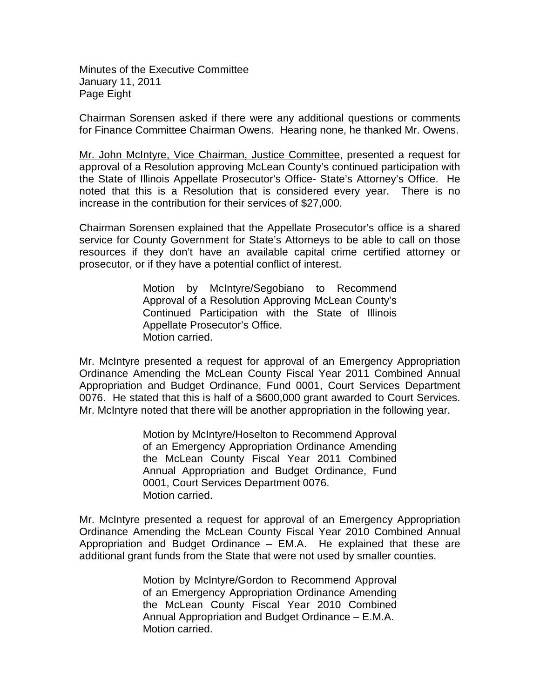Minutes of the Executive Committee January 11, 2011 Page Eight

Chairman Sorensen asked if there were any additional questions or comments for Finance Committee Chairman Owens. Hearing none, he thanked Mr. Owens.

Mr. John McIntyre, Vice Chairman, Justice Committee, presented a request for approval of a Resolution approving McLean County's continued participation with the State of Illinois Appellate Prosecutor's Office- State's Attorney's Office. He noted that this is a Resolution that is considered every year. There is no increase in the contribution for their services of \$27,000.

Chairman Sorensen explained that the Appellate Prosecutor's office is a shared service for County Government for State's Attorneys to be able to call on those resources if they don't have an available capital crime certified attorney or prosecutor, or if they have a potential conflict of interest.

> Motion by McIntyre/Segobiano to Recommend Approval of a Resolution Approving McLean County's Continued Participation with the State of Illinois Appellate Prosecutor's Office. Motion carried.

Mr. McIntyre presented a request for approval of an Emergency Appropriation Ordinance Amending the McLean County Fiscal Year 2011 Combined Annual Appropriation and Budget Ordinance, Fund 0001, Court Services Department 0076. He stated that this is half of a \$600,000 grant awarded to Court Services. Mr. McIntyre noted that there will be another appropriation in the following year.

> Motion by McIntyre/Hoselton to Recommend Approval of an Emergency Appropriation Ordinance Amending the McLean County Fiscal Year 2011 Combined Annual Appropriation and Budget Ordinance, Fund 0001, Court Services Department 0076. Motion carried.

Mr. McIntyre presented a request for approval of an Emergency Appropriation Ordinance Amending the McLean County Fiscal Year 2010 Combined Annual Appropriation and Budget Ordinance – EM.A. He explained that these are additional grant funds from the State that were not used by smaller counties.

> Motion by McIntyre/Gordon to Recommend Approval of an Emergency Appropriation Ordinance Amending the McLean County Fiscal Year 2010 Combined Annual Appropriation and Budget Ordinance – E.M.A. Motion carried.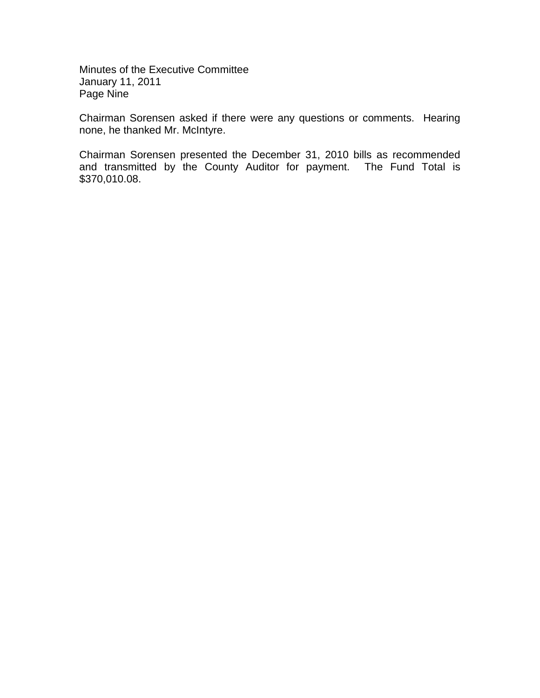Minutes of the Executive Committee January 11, 2011 Page Nine

Chairman Sorensen asked if there were any questions or comments. Hearing none, he thanked Mr. McIntyre.

Chairman Sorensen presented the December 31, 2010 bills as recommended and transmitted by the County Auditor for payment. The Fund Total is \$370,010.08.